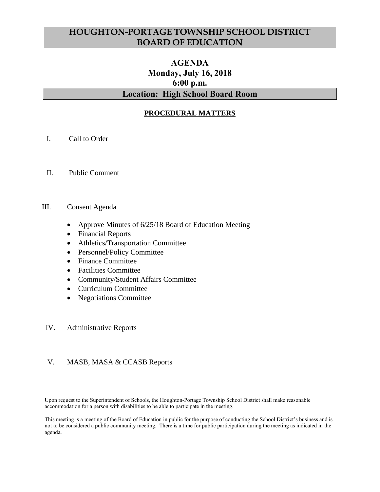# **HOUGHTON-PORTAGE TOWNSHIP SCHOOL DISTRICT BOARD OF EDUCATION**

# **AGENDA Monday, July 16, 2018 6:00 p.m. Location: High School Board Room**

## **PROCEDURAL MATTERS**

- I. Call to Order
- II. Public Comment

#### III. Consent Agenda

- Approve Minutes of 6/25/18 Board of Education Meeting
- Financial Reports
- Athletics/Transportation Committee
- Personnel/Policy Committee
- Finance Committee
- Facilities Committee
- Community/Student Affairs Committee
- Curriculum Committee
- Negotiations Committee

#### IV. Administrative Reports

#### V. MASB, MASA & CCASB Reports

Upon request to the Superintendent of Schools, the Houghton-Portage Township School District shall make reasonable accommodation for a person with disabilities to be able to participate in the meeting.

This meeting is a meeting of the Board of Education in public for the purpose of conducting the School District's business and is not to be considered a public community meeting. There is a time for public participation during the meeting as indicated in the agenda.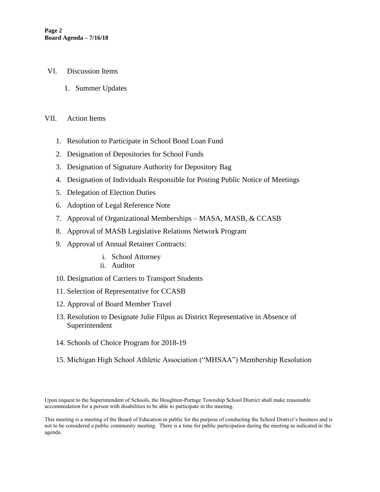- VI. Discussion Items
	- 1. Summer Updates

#### VII. Action Items

- 1. Resolution to Participate in School Bond Loan Fund
- 2. Designation of Depositories for School Funds
- 3. Designation of Signature Authority for Depository Bag
- 4. Designation of Individuals Responsible for Posting Public Notice of Meetings
- 5. Delegation of Election Duties
- 6. Adoption of Legal Reference Note
- 7. Approval of Organizational Memberships MASA, MASB, & CCASB
- 8. Approval of MASB Legislative Relations Network Program
- 9. Approval of Annual Retainer Contracts:
	- i. School Attorney
	- ii. Auditor
- 10. Designation of Carriers to Transport Students
- 11. Selection of Representative for CCASB
- 12. Approval of Board Member Travel
- 13. Resolution to Designate Julie Filpus as District Representative in Absence of Superintendent
- 14. Schools of Choice Program for 2018-19
- 15. Michigan High School Athletic Association ("MHSAA") Membership Resolution

Upon request to the Superintendent of Schools, the Houghton-Portage Township School District shall make reasonable accommodation for a person with disabilities to be able to participate in the meeting.

This meeting is a meeting of the Board of Education in public for the purpose of conducting the School District's business and is not to be considered a public community meeting. There is a time for public participation during the meeting as indicated in the agenda.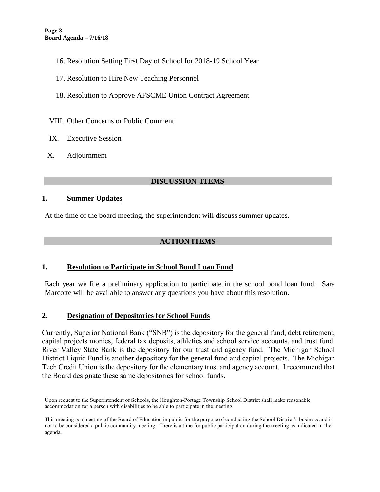- 16. Resolution Setting First Day of School for 2018-19 School Year
- 17. Resolution to Hire New Teaching Personnel
- 18. Resolution to Approve AFSCME Union Contract Agreement
- VIII. Other Concerns or Public Comment
- IX. Executive Session
- X. Adjournment

### **DISCUSSION ITEMS**

#### **1. Summer Updates**

At the time of the board meeting, the superintendent will discuss summer updates.

### **ACTION ITEMS**

### **1. Resolution to Participate in School Bond Loan Fund**

Each year we file a preliminary application to participate in the school bond loan fund. Sara Marcotte will be available to answer any questions you have about this resolution.

### **2. Designation of Depositories for School Funds**

Currently, Superior National Bank ("SNB") is the depository for the general fund, debt retirement, capital projects monies, federal tax deposits, athletics and school service accounts, and trust fund. River Valley State Bank is the depository for our trust and agency fund. The Michigan School District Liquid Fund is another depository for the general fund and capital projects. The Michigan Tech Credit Union is the depository for the elementary trust and agency account. I recommend that the Board designate these same depositories for school funds.

Upon request to the Superintendent of Schools, the Houghton-Portage Township School District shall make reasonable accommodation for a person with disabilities to be able to participate in the meeting.

This meeting is a meeting of the Board of Education in public for the purpose of conducting the School District's business and is not to be considered a public community meeting. There is a time for public participation during the meeting as indicated in the agenda.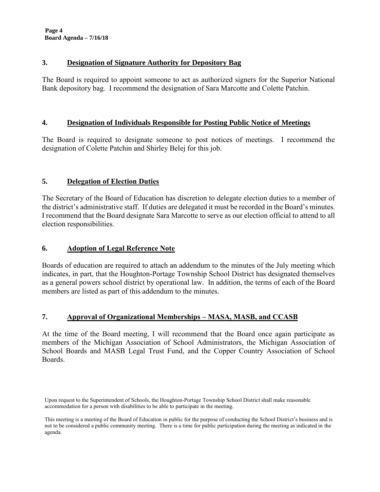#### **3. Designation of Signature Authority for Depository Bag**

The Board is required to appoint someone to act as authorized signers for the Superior National Bank depository bag. I recommend the designation of Sara Marcotte and Colette Patchin.

#### **4. Designation of Individuals Responsible for Posting Public Notice of Meetings**

The Board is required to designate someone to post notices of meetings. I recommend the designation of Colette Patchin and Shirley Belej for this job.

## **5. Delegation of Election Duties**

The Secretary of the Board of Education has discretion to delegate election duties to a member of the district's administrative staff. If duties are delegated it must be recorded in the Board's minutes. I recommend that the Board designate Sara Marcotte to serve as our election official to attend to all election responsibilities.

### **6. Adoption of Legal Reference Note**

Boards of education are required to attach an addendum to the minutes of the July meeting which indicates, in part, that the Houghton-Portage Township School District has designated themselves as a general powers school district by operational law. In addition, the terms of each of the Board members are listed as part of this addendum to the minutes.

### **7. Approval of Organizational Memberships – MASA, MASB, and CCASB**

At the time of the Board meeting, I will recommend that the Board once again participate as members of the Michigan Association of School Administrators, the Michigan Association of School Boards and MASB Legal Trust Fund, and the Copper Country Association of School Boards.

Upon request to the Superintendent of Schools, the Houghton-Portage Township School District shall make reasonable accommodation for a person with disabilities to be able to participate in the meeting.

This meeting is a meeting of the Board of Education in public for the purpose of conducting the School District's business and is not to be considered a public community meeting. There is a time for public participation during the meeting as indicated in the agenda.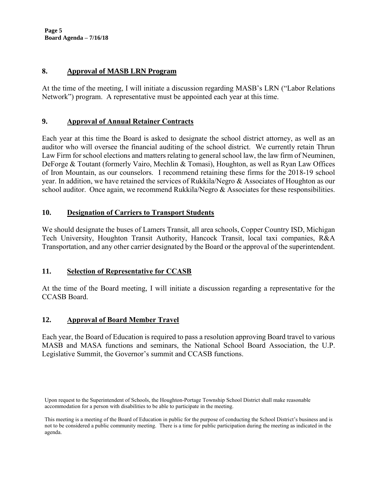**Page 5 Board Agenda – 7/16/18**

#### **8. Approval of MASB LRN Program**

At the time of the meeting, I will initiate a discussion regarding MASB's LRN ("Labor Relations Network") program. A representative must be appointed each year at this time.

### **9. Approval of Annual Retainer Contracts**

Each year at this time the Board is asked to designate the school district attorney, as well as an auditor who will oversee the financial auditing of the school district. We currently retain Thrun Law Firm for school elections and matters relating to general school law, the law firm of Neuminen, DeForge & Toutant (formerly Vairo, Mechlin & Tomasi), Houghton, as well as Ryan Law Offices of Iron Mountain, as our counselors. I recommend retaining these firms for the 2018-19 school year. In addition, we have retained the services of Rukkila/Negro & Associates of Houghton as our school auditor. Once again, we recommend Rukkila/Negro & Associates for these responsibilities.

#### **10. Designation of Carriers to Transport Students**

We should designate the buses of Lamers Transit, all area schools, Copper Country ISD, Michigan Tech University, Houghton Transit Authority, Hancock Transit, local taxi companies, R&A Transportation, and any other carrier designated by the Board or the approval of the superintendent.

### **11. Selection of Representative for CCASB**

At the time of the Board meeting, I will initiate a discussion regarding a representative for the CCASB Board.

### **12. Approval of Board Member Travel**

Each year, the Board of Education is required to pass a resolution approving Board travel to various MASB and MASA functions and seminars, the National School Board Association, the U.P. Legislative Summit, the Governor's summit and CCASB functions.

Upon request to the Superintendent of Schools, the Houghton-Portage Township School District shall make reasonable accommodation for a person with disabilities to be able to participate in the meeting.

This meeting is a meeting of the Board of Education in public for the purpose of conducting the School District's business and is not to be considered a public community meeting. There is a time for public participation during the meeting as indicated in the agenda.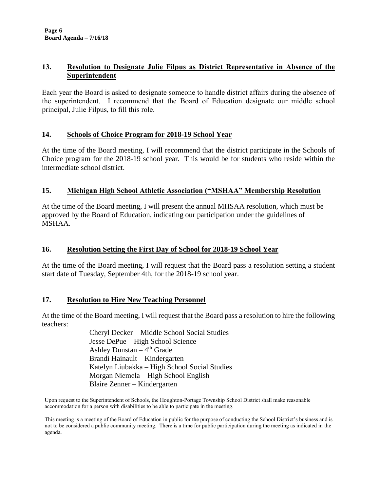## **13. Resolution to Designate Julie Filpus as District Representative in Absence of the Superintendent**

Each year the Board is asked to designate someone to handle district affairs during the absence of the superintendent. I recommend that the Board of Education designate our middle school principal, Julie Filpus, to fill this role.

### **14. Schools of Choice Program for 2018-19 School Year**

At the time of the Board meeting, I will recommend that the district participate in the Schools of Choice program for the 2018-19 school year. This would be for students who reside within the intermediate school district.

## **15. Michigan High School Athletic Association ("MSHAA" Membership Resolution**

At the time of the Board meeting, I will present the annual MHSAA resolution, which must be approved by the Board of Education, indicating our participation under the guidelines of MSHAA.

## **16. Resolution Setting the First Day of School for 2018-19 School Year**

At the time of the Board meeting, I will request that the Board pass a resolution setting a student start date of Tuesday, September 4th, for the 2018-19 school year.

### **17. Resolution to Hire New Teaching Personnel**

At the time of the Board meeting, I will request that the Board pass a resolution to hire the following teachers:

> Cheryl Decker – Middle School Social Studies Jesse DePue – High School Science Ashley Dunstan – 4<sup>th</sup> Grade Brandi Hainault – Kindergarten Katelyn Liubakka – High School Social Studies Morgan Niemela – High School English Blaire Zenner – Kindergarten

Upon request to the Superintendent of Schools, the Houghton-Portage Township School District shall make reasonable accommodation for a person with disabilities to be able to participate in the meeting.

This meeting is a meeting of the Board of Education in public for the purpose of conducting the School District's business and is not to be considered a public community meeting. There is a time for public participation during the meeting as indicated in the agenda.